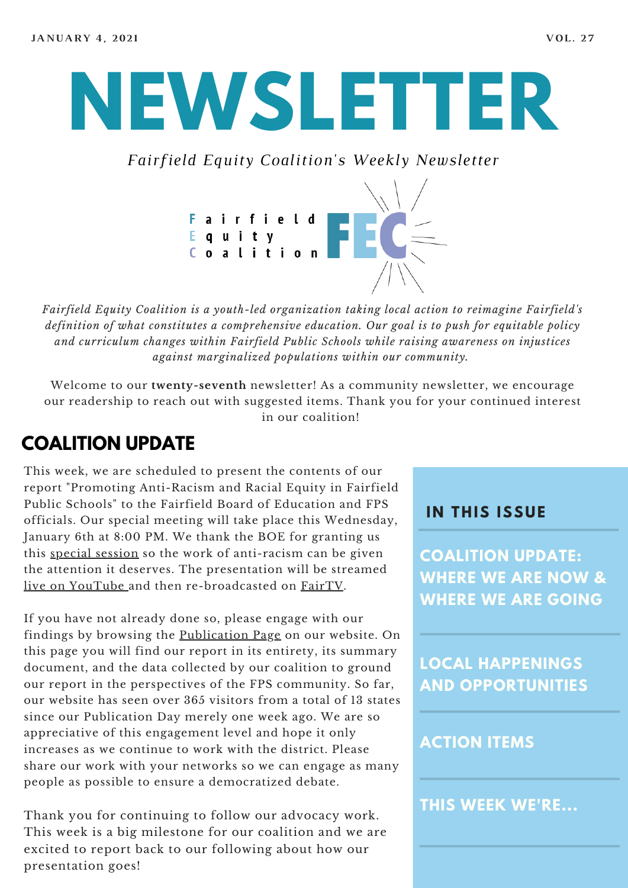# **NEWSLETTER**

*Fairfield Equity Coalition's Weekly Newsletter*



*Fairfield Equity Coalition is a youth-led organization taking local action to reimagine Fairfield's definition of what constitutes a comprehensive education. Our goal is to push for equitable policy and curriculum changes within Fairfield Public Schools while raising awareness on injustices against marginalized populations within our community.*

Welcome to our **twenty-seventh** newsletter! As a community newsletter, we encourage our readership to reach out with suggested items. Thank you for your continued interest in our coalition!

#### **COALITION UPDATE**

This week, we are scheduled to present the contents of our report "Promoting Anti-Racism and Racial Equity in Fairfield Public Schools" to the Fairfield Board of Education and FPS officials. Our special meeting will take place this Wednesday, January 6th at 8:00 PM. We thank the BOE for granting us this special [session](https://boe.fairfieldschools.org/content/uploads/2020/12/1-6-21-BoE-AgendaEnc-Special-Meeting-FEC.pdf) so the work of anti-racism can be given the attention it deserves. The presentation will be streamed live on [YouTube](https://www.youtube.com/watch?v=Y9y4D5SGeUs&feature=youtu.be) and then re-broadcasted on [FairTV.](https://media.discovervideo.com/channel?ch=9eb894355b&page=1)

If you have not already done so, please engage with our findings by browsing the [Publication](https://www.fairfieldequitycoalition.org/promotinganti-racismandracialequity) Page on our website. On this page you will find our report in its entirety, its summary document, and the data collected by our coalition to ground our report in the perspectives of the FPS community. So far, our website has seen over 365 visitors from a total of 13 states since our Publication Day merely one week ago. We are so appreciative of this engagement level and hope it only increases as we continue to work with the district. Please share our work with your networks so we can engage as many people as possible to ensure a democratized debate.

Thank you for continuing to follow our advocacy work. This week is a big milestone for our coalition and we are excited to report back to our following about how our presentation goes!

#### **I N THIS ISSUE**

**COALITION UPDATE: WHERE WE ARE NOW & WHERE WE ARE GOING**

**LOCAL HAPPENINGS AND OPPORTUNITIES**

#### **ACTION ITEMS**

**THIS WEEK WE'RE...**